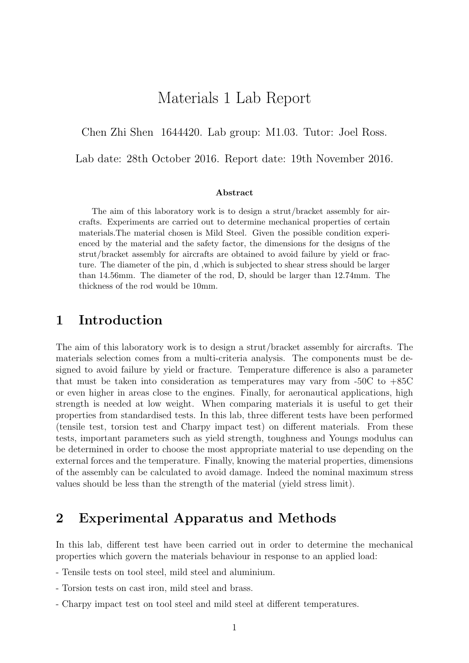## Materials 1 Lab Report

Chen Zhi Shen 1644420. Lab group: M1.03. Tutor: Joel Ross.

Lab date: 28th October 2016. Report date: 19th November 2016.

#### Abstract

The aim of this laboratory work is to design a strut/bracket assembly for aircrafts. Experiments are carried out to determine mechanical properties of certain materials.The material chosen is Mild Steel. Given the possible condition experienced by the material and the safety factor, the dimensions for the designs of the strut/bracket assembly for aircrafts are obtained to avoid failure by yield or fracture. The diameter of the pin, d ,which is subjected to shear stress should be larger than 14.56mm. The diameter of the rod, D, should be larger than 12.74mm. The thickness of the rod would be 10mm.

### 1 Introduction

The aim of this laboratory work is to design a strut/bracket assembly for aircrafts. The materials selection comes from a multi-criteria analysis. The components must be designed to avoid failure by yield or fracture. Temperature difference is also a parameter that must be taken into consideration as temperatures may vary from  $-50C$  to  $+85C$ or even higher in areas close to the engines. Finally, for aeronautical applications, high strength is needed at low weight. When comparing materials it is useful to get their properties from standardised tests. In this lab, three different tests have been performed (tensile test, torsion test and Charpy impact test) on different materials. From these tests, important parameters such as yield strength, toughness and Youngs modulus can be determined in order to choose the most appropriate material to use depending on the external forces and the temperature. Finally, knowing the material properties, dimensions of the assembly can be calculated to avoid damage. Indeed the nominal maximum stress values should be less than the strength of the material (yield stress limit).

### 2 Experimental Apparatus and Methods

In this lab, different test have been carried out in order to determine the mechanical properties which govern the materials behaviour in response to an applied load:

- Tensile tests on tool steel, mild steel and aluminium.
- Torsion tests on cast iron, mild steel and brass.
- Charpy impact test on tool steel and mild steel at different temperatures.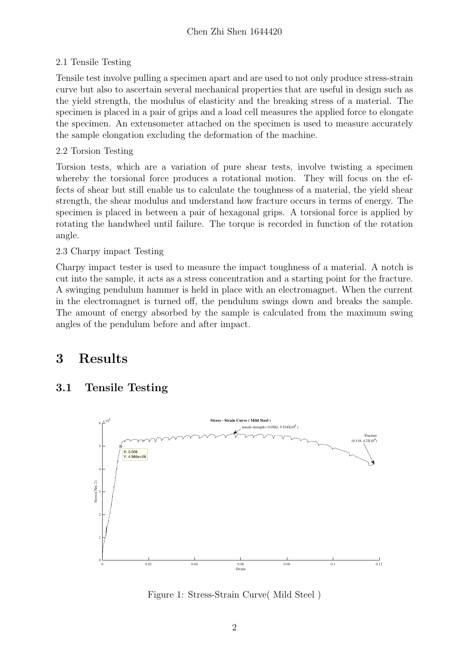#### 2.1 Tensile Testing

Tensile test involve pulling a specimen apart and are used to not only produce stress-strain curve but also to ascertain several mechanical properties that are useful in design such as the yield strength, the modulus of elasticity and the breaking stress of a material. The specimen is placed in a pair of grips and a load cell measures the applied force to elongate the specimen. An extensometer attached on the specimen is used to measure accurately the sample elongation excluding the deformation of the machine.

#### 2.2 Torsion Testing

Torsion tests, which are a variation of pure shear tests, involve twisting a specimen whereby the torsional force produces a rotational motion. They will focus on the effects of shear but still enable us to calculate the toughness of a material, the yield shear strength, the shear modulus and understand how fracture occurs in terms of energy. The specimen is placed in between a pair of hexagonal grips. A torsional force is applied by rotating the handwheel until failure. The torque is recorded in function of the rotation angle.

#### 2.3 Charpy impact Testing

Charpy impact tester is used to measure the impact toughness of a material. A notch is cut into the sample, it acts as a stress concentration and a starting point for the fracture. A swinging pendulum hammer is held in place with an electromagnet. When the current in the electromagnet is turned off, the pendulum swings down and breaks the sample. The amount of energy absorbed by the sample is calculated from the maximum swing angles of the pendulum before and after impact.

# 3 Results

### 3.1 Tensile Testing



Figure 1: Stress-Strain Curve( Mild Steel )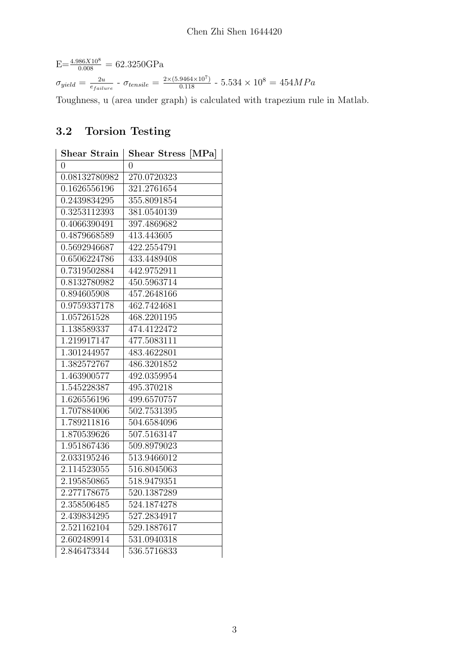$E=\frac{4.986X10^8}{0.008} = 62.3250GPa$  $\sigma_{yield} = \frac{2u}{e_{fail}}$  $\frac{2u}{e_{failure}}$  -  $\sigma_{tensile} = \frac{2 \times (5.9464 \times 10^7)}{0.118}$  -  $5.534 \times 10^8 = 454 MPa$ 

Toughness, u (area under graph) is calculated with trapezium rule in Matlab.

## 3.2 Torsion Testing

| <b>Shear Strain</b> | [MPa]<br><b>Shear Stress</b> |
|---------------------|------------------------------|
| $\overline{0}$      | 0                            |
| 0.08132780982       | 270.0720323                  |
| 0.1626556196        | 321.2761654                  |
| 0.2439834295        | 355.8091854                  |
| 0.3253112393        | 381.0540139                  |
| 0.4066390491        | 397.4869682                  |
| 0.4879668589        | 413.443605                   |
| 0.5692946687        | 422.2554791                  |
| 0.6506224786        | 433.4489408                  |
| 0.7319502884        | 442.9752911                  |
| 0.8132780982        | 450.5963714                  |
| 0.894605908         | 457.2648166                  |
| 0.9759337178        | 462.7424681                  |
| 1.057261528         | 468.2201195                  |
| 1.138589337         | 474.4122472                  |
| 1.219917147         | $477.50831\overline{11}$     |
| 1.301244957         | 483.4622801                  |
| 1.382572767         | 486.3201852                  |
| 1.463900577         | 492.0359954                  |
| 1.545228387         | 495.370218                   |
| 1.626556196         | 499.6570757                  |
| 1.707884006         | 502.7531395                  |
| 1.789211816         | 504.6584096                  |
| 1.870539626         | $507.51\overline{63147}$     |
| 1.951867436         | 509.8979023                  |
| 2.033195246         | 513.9466012                  |
| 2.114523055         | 516.8045063                  |
| 2.195850865         | 518.9479351                  |
| 2.277178675         | 520.1387289                  |
| 2.358506485         | 524.1874278                  |
| 2.439834295         | 527.2834917                  |
| 2.521162104         | 529.1887617                  |
| 2.602489914         | 531.0940318                  |
| 2.846473344         | 536.5716833                  |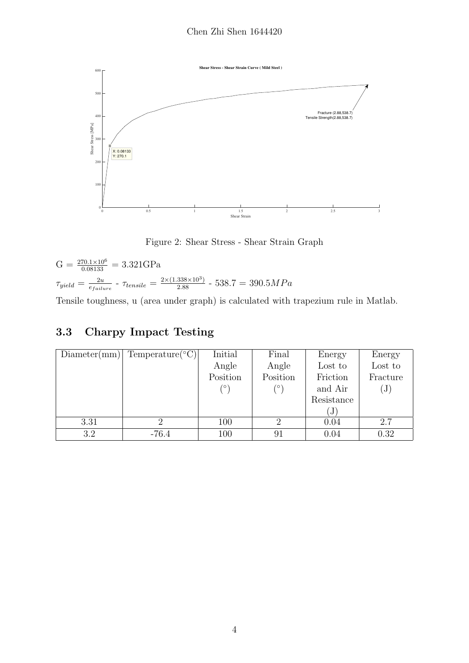

Figure 2: Shear Stress - Shear Strain Graph

 $G = \frac{270.1 \times 10^6}{0.08133} = 3.321 \text{GPa}$  $\tau_{yield} = \frac{2u}{e^{t-1}}$  $\frac{2u}{e_{failure}}$  -  $\tau_{tensile} = \frac{2 \times (1.338 \times 10^3)}{2.88}$  -  $538.7 = 390.5 MPa$ 

Tensile toughness, u (area under graph) is calculated with trapezium rule in Matlab.

### 3.3 Charpy Impact Testing

| Diameter(mm) | Temperature( $°C$ ) | Initial  | Final    | Energy     | Energy    |
|--------------|---------------------|----------|----------|------------|-----------|
|              |                     | Angle    | Angle    | Lost to    | Lost to   |
|              |                     | Position | Position | Friction   | Fracture  |
|              |                     | $\sim$   | (∘`      | and Air    | $\rm (J)$ |
|              |                     |          |          | Resistance |           |
|              |                     |          |          | J          |           |
| 3.31         |                     | 100      |          | 0.04       | 2.7       |
| 3.2          | $-76.4$             | 100      | 91       | 0.04       | 0.32      |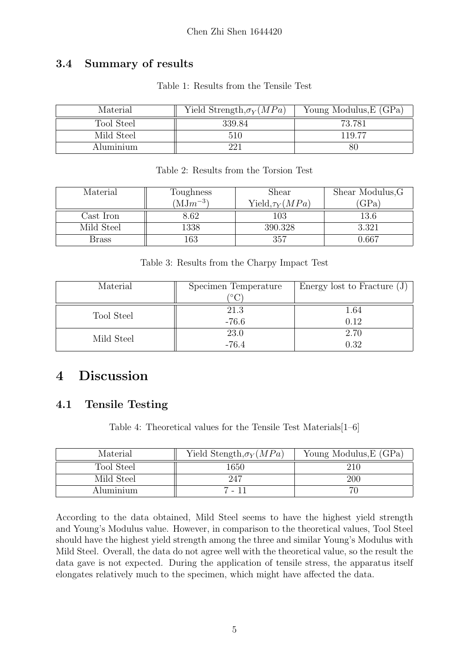### 3.4 Summary of results

| Table 1: Results from the Tensile Test |  |  |  |  |  |
|----------------------------------------|--|--|--|--|--|
|----------------------------------------|--|--|--|--|--|

| Material   | Yield Strength, $\sigma_Y(MPa)$ | Young Modulus, E (GPa) |
|------------|---------------------------------|------------------------|
| Tool Steel | 339.84                          | 73.781                 |
| Mild Steel | 510                             | 119.77                 |
| Aluminium  |                                 | 80                     |

| Material   | Toughness    | Shear                | Shear Modulus, G |
|------------|--------------|----------------------|------------------|
|            | $(MJm^{-3})$ | Yield, $\tau_Y(MPa)$ | GPa              |
| Cast Iron  | 8.62         | 103                  | 13.6             |
| Mild Steel | 1338         | 390.328              | 3.321            |
| Brass      | 163          | 357                  | 0.667            |

Table 2: Results from the Torsion Test

Table 3: Results from the Charpy Impact Test

| Material   | Specimen Temperature | Energy lost to Fracture $(J)$ |  |
|------------|----------------------|-------------------------------|--|
|            |                      |                               |  |
| Tool Steel | 21.3                 | 1.64                          |  |
|            | $-76.6$              | 0.12                          |  |
| Mild Steel | 23.0                 | 2.70                          |  |
|            | $-76.4$              | 0.32                          |  |

# 4 Discussion

### 4.1 Tensile Testing

Table 4: Theoretical values for the Tensile Test Materials[1–6]

| Material   | Yield Stength, $\sigma_Y(MPa)$ | Young Modulus, E (GPa) |
|------------|--------------------------------|------------------------|
| Tool Steel | 1650                           | 210                    |
| Mild Steel | -247                           | 200                    |
| Aluminium  | 7 - 11                         |                        |

According to the data obtained, Mild Steel seems to have the highest yield strength and Young's Modulus value. However, in comparison to the theoretical values, Tool Steel should have the highest yield strength among the three and similar Young's Modulus with Mild Steel. Overall, the data do not agree well with the theoretical value, so the result the data gave is not expected. During the application of tensile stress, the apparatus itself elongates relatively much to the specimen, which might have affected the data.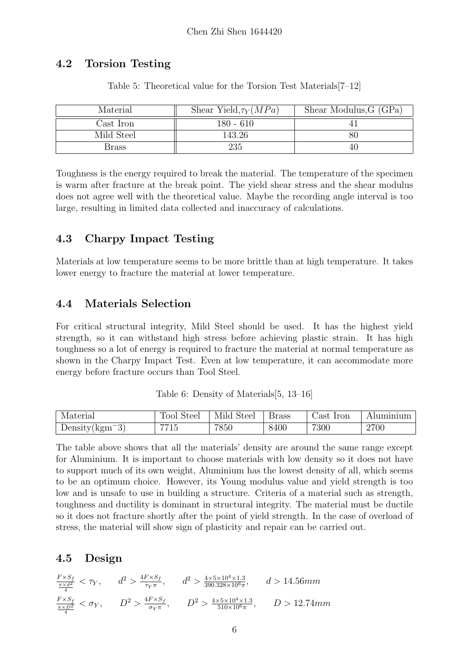#### 4.2 Torsion Testing

| Material     | Shear Yield, $\tau_Y(MPa)$ | Shear Modulus, G (GPa) |
|--------------|----------------------------|------------------------|
| Cast Iron    | $180 - 610$                |                        |
| Mild Steel   | 143.26                     | 80                     |
| <b>Brass</b> | 235                        | 40.                    |

Table 5: Theoretical value for the Torsion Test Materials[7–12]

Toughness is the energy required to break the material. The temperature of the specimen is warm after fracture at the break point. The yield shear stress and the shear modulus does not agree well with the theoretical value. Maybe the recording angle interval is too large, resulting in limited data collected and inaccuracy of calculations.

### 4.3 Charpy Impact Testing

Materials at low temperature seems to be more brittle than at high temperature. It takes lower energy to fracture the material at lower temperature.

#### 4.4 Materials Selection

For critical structural integrity, Mild Steel should be used. It has the highest yield strength, so it can withstand high stress before achieving plastic strain. It has high toughness so a lot of energy is required to fracture the material at normal temperature as shown in the Charpy Impact Test. Even at low temperature, it can accommodate more energy before fracture occurs than Tool Steel.

| Material         | Tool Steel | Mild Steel | <b>Brass</b> | Cast Iron | Aluminium |
|------------------|------------|------------|--------------|-----------|-----------|
| $Density(kgm-3)$ | 7715       | 7850       | 8400         | 7300      | 2700      |

Table 6: Density of Materials[5, 13–16]

The table above shows that all the materials' density are around the same range except for Aluminium. It is important to choose materials with low density so it does not have to support much of its own weight, Aluminium has the lowest density of all, which seems to be an optimum choice. However, its Young modulus value and yield strength is too low and is unsafe to use in building a structure. Criteria of a material such as strength, toughness and ductility is dominant in structural integrity. The material must be ductile so it does not fracture shortly after the point of yield strength. In the case of overload of stress, the material will show sign of plasticity and repair can be carried out.

#### 4.5 Design

 $\frac{F \times S_f}{\frac{\pi \times d^2}{4}} < \tau_Y$ ,  $d^2 > \frac{4F \times S_f}{\tau_Y \pi}$  $\frac{F \times S_f}{\tau_Y \pi}$ ,  $d^2 > \frac{4 \times 5 \times 10^4 \times 1.3}{390.328 \times 10^6 \pi}$  $\frac{4 \times 5 \times 10^4 \times 1.3}{390.328 \times 10^6 \pi}$ ,  $d > 14.56$ mm  $\frac{F \times S_f}{\frac{\pi \times D^2}{4}} < \sigma_Y$ ,  $D^2 > \frac{4F \times S_f}{\sigma_Y \pi}$  $\frac{F \times S_f}{\sigma_Y \pi}$ ,  $D^2 > \frac{4 \times 5 \times 10^4 \times 1.3}{510 \times 10^6 \pi}$  $\frac{5 \times 10^4 \times 1.3}{510 \times 10^6 \pi}$ ,  $D > 12.74$ mm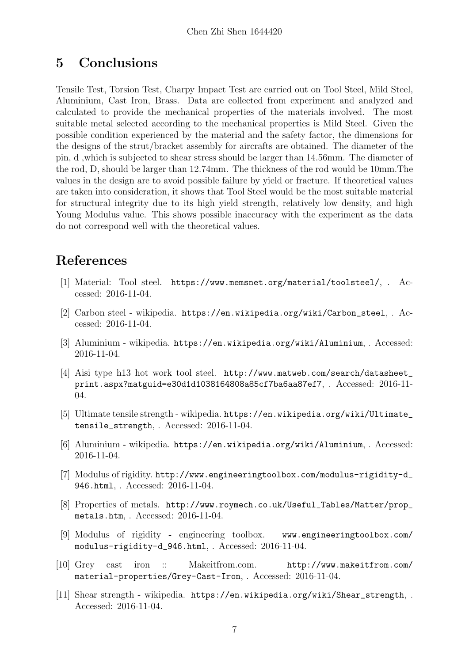## 5 Conclusions

Tensile Test, Torsion Test, Charpy Impact Test are carried out on Tool Steel, Mild Steel, Aluminium, Cast Iron, Brass. Data are collected from experiment and analyzed and calculated to provide the mechanical properties of the materials involved. The most suitable metal selected according to the mechanical properties is Mild Steel. Given the possible condition experienced by the material and the safety factor, the dimensions for the designs of the strut/bracket assembly for aircrafts are obtained. The diameter of the pin, d ,which is subjected to shear stress should be larger than 14.56mm. The diameter of the rod, D, should be larger than 12.74mm. The thickness of the rod would be 10mm.The values in the design are to avoid possible failure by yield or fracture. If theoretical values are taken into consideration, it shows that Tool Steel would be the most suitable material for structural integrity due to its high yield strength, relatively low density, and high Young Modulus value. This shows possible inaccuracy with the experiment as the data do not correspond well with the theoretical values.

# References

- [1] Material: Tool steel. https://www.memsnet.org/material/toolsteel/, . Accessed: 2016-11-04.
- [2] Carbon steel wikipedia. https://en.wikipedia.org/wiki/Carbon\_steel, . Accessed: 2016-11-04.
- [3] Aluminium wikipedia. https://en.wikipedia.org/wiki/Aluminium, . Accessed: 2016-11-04.
- [4] Aisi type h13 hot work tool steel. http://www.matweb.com/search/datasheet\_ print.aspx?matguid=e30d1d1038164808a85cf7ba6aa87ef7, . Accessed: 2016-11- 04.
- [5] Ultimate tensile strength wikipedia. https://en.wikipedia.org/wiki/Ultimate\_ tensile\_strength, . Accessed: 2016-11-04.
- [6] Aluminium wikipedia. https://en.wikipedia.org/wiki/Aluminium, . Accessed: 2016-11-04.
- [7] Modulus of rigidity. http://www.engineeringtoolbox.com/modulus-rigidity-d\_ 946.html, . Accessed: 2016-11-04.
- [8] Properties of metals. http://www.roymech.co.uk/Useful\_Tables/Matter/prop\_ metals.htm, . Accessed: 2016-11-04.
- [9] Modulus of rigidity engineering toolbox. www.engineeringtoolbox.com/ modulus-rigidity-d\_946.html, . Accessed: 2016-11-04.
- [10] Grey cast iron :: Makeitfrom.com. http://www.makeitfrom.com/ material-properties/Grey-Cast-Iron, . Accessed: 2016-11-04.
- [11] Shear strength wikipedia. https://en.wikipedia.org/wiki/Shear\_strength, . Accessed: 2016-11-04.